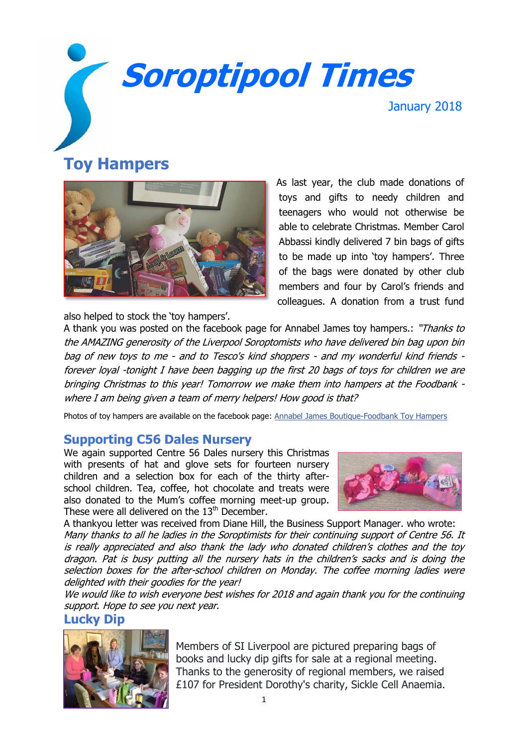# **Soroptipool Times**

January 2018

# **Toy Hampers**



As last year, the club made donations of toys and gifts to needy children and teenagers who would not otherwise be able to celebrate Christmas. Member Carol Abbassi kindly delivered 7 bin bags of gifts to be made up into 'toy hampers'. Three of the bags were donated by other club members and four by Carol's friends and colleagues. A donation from a trust fund

also helped to stock the 'toy hampers'.

A thank you was posted on the facebook page for Annabel James toy hampers.: "Thanks to the AMAZING generosity of the Liverpool Soroptomists who have delivered bin bag upon bin bag of new toys to me - and to Tesco's kind shoppers - and my wonderful kind friends forever loyal -tonight I have been bagging up the first 20 bags of toys for children we are bringing Christmas to this year! Tomorrow we make them into hampers at the Foodbank where I am being given a team of merry helpers! How good is that?

Photos of toy hampers are available on the facebook page: [Annabel James Boutique-Foodbank Toy Hampers](https://www.facebook.com/Annabel-James-Boutique-Foodbank-Toy-Hampers-1475406712750881/)

## **Supporting C56 Dales Nursery**

We again supported Centre 56 Dales nursery this Christmas with presents of hat and glove sets for fourteen nursery children and a selection box for each of the thirty afterschool children. Tea, coffee, hot chocolate and treats were also donated to the Mum's coffee morning meet-up group. These were all delivered on the 13<sup>th</sup> December.



A thankyou letter was received from Diane Hill, the Business Support Manager. who wrote: Many thanks to all he ladies in the Soroptimists for their continuing support of Centre 56. It is really appreciated and also thank the lady who donated children's clothes and the toy dragon. Pat is busy putting all the nursery hats in the children's sacks and is doing the selection boxes for the after-school children on Monday. The coffee morning ladies were delighted with their goodies for the year!

We would like to wish everyone best wishes for 2018 and again thank you for the continuing support. Hope to see you next year.

### **Lucky Dip**



Members of SI Liverpool are pictured preparing bags of books and lucky dip gifts for sale at a regional meeting. Thanks to the generosity of regional members, we raised £107 for President Dorothy's charity, Sickle Cell Anaemia.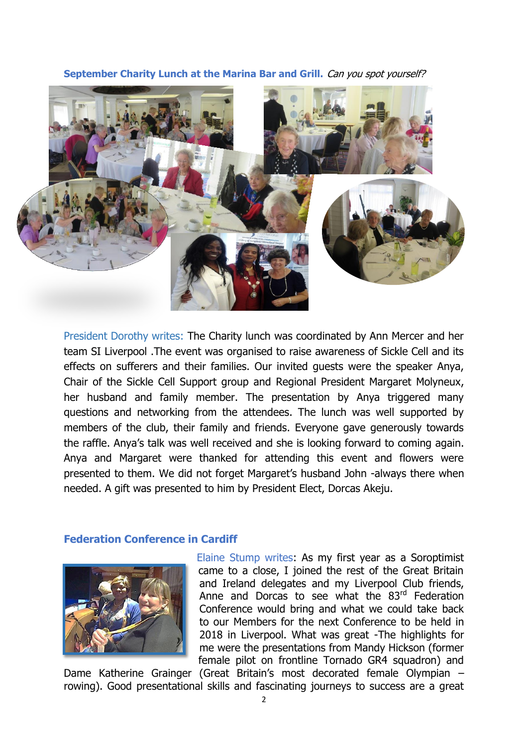**September Charity Lunch at the Marina Bar and Grill.** Can you spot yourself?



President Dorothy writes: The Charity lunch was coordinated by Ann Mercer and her team SI Liverpool .The event was organised to raise awareness of Sickle Cell and its effects on sufferers and their families. Our invited guests were the speaker Anya, Chair of the Sickle Cell Support group and Regional President Margaret Molyneux, her husband and family member. The presentation by Anya triggered many questions and networking from the attendees. The lunch was well supported by members of the club, their family and friends. Everyone gave generously towards the raffle. Anya's talk was well received and she is looking forward to coming again. Anya and Margaret were thanked for attending this event and flowers were presented to them. We did not forget Margaret's husband John -always there when needed. A gift was presented to him by President Elect, Dorcas Akeju.

#### **Federation Conference in Cardiff**



Elaine Stump writes: As my first year as a Soroptimist came to a close, I joined the rest of the Great Britain and Ireland delegates and my Liverpool Club friends, Anne and Dorcas to see what the 83<sup>rd</sup> Federation Conference would bring and what we could take back to our Members for the next Conference to be held in 2018 in Liverpool. What was great -The highlights for me were the presentations from Mandy Hickson (former female pilot on frontline Tornado GR4 squadron) and

Dame Katherine Grainger (Great Britain's most decorated female Olympian – rowing). Good presentational skills and fascinating journeys to success are a great